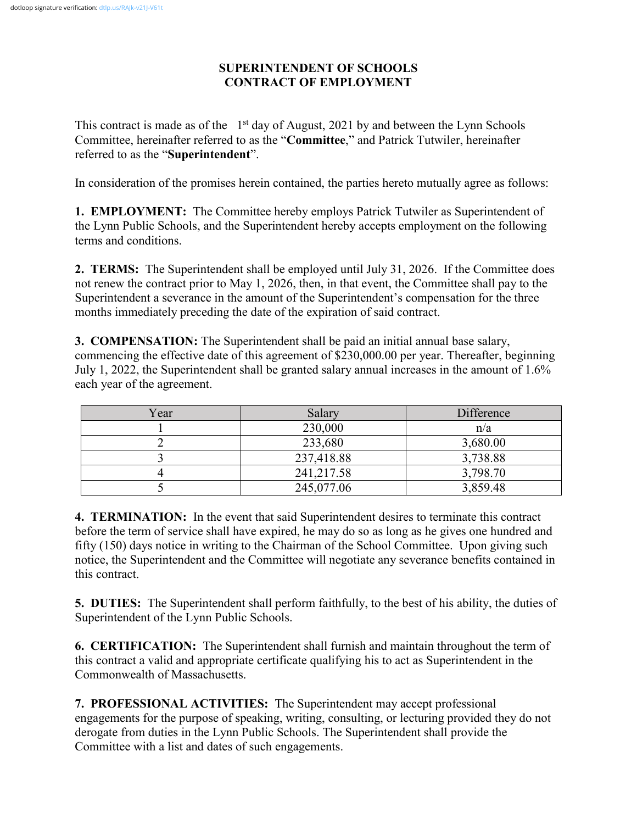## **SUPERINTENDENT OF SCHOOLS CONTRACT OF EMPLOYMENT**

This contract is made as of the  $1<sup>st</sup>$  day of August, 2021 by and between the Lynn Schools Committee, hereinafter referred to as the "**Committee**," and Patrick Tutwiler, hereinafter referred to as the "**Superintendent**".

In consideration of the promises herein contained, the parties hereto mutually agree as follows:

**1. EMPLOYMENT:** The Committee hereby employs Patrick Tutwiler as Superintendent of the Lynn Public Schools, and the Superintendent hereby accepts employment on the following terms and conditions.

**2. TERMS:** The Superintendent shall be employed until July 31, 2026. If the Committee does not renew the contract prior to May 1, 2026, then, in that event, the Committee shall pay to the Superintendent a severance in the amount of the Superintendent's compensation for the three months immediately preceding the date of the expiration of said contract.

**3. COMPENSATION:** The Superintendent shall be paid an initial annual base salary, commencing the effective date of this agreement of \$230,000.00 per year. Thereafter, beginning July 1, 2022, the Superintendent shall be granted salary annual increases in the amount of 1.6% each year of the agreement.

| Year | Salary     | Difference |  |
|------|------------|------------|--|
|      | 230,000    | n/a        |  |
|      | 233,680    | 3,680.00   |  |
|      | 237,418.88 | 3,738.88   |  |
|      | 241,217.58 | 3,798.70   |  |
|      | 245,077.06 | 3,859.48   |  |

**4. TERMINATION:** In the event that said Superintendent desires to terminate this contract before the term of service shall have expired, he may do so as long as he gives one hundred and fifty (150) days notice in writing to the Chairman of the School Committee. Upon giving such notice, the Superintendent and the Committee will negotiate any severance benefits contained in this contract.

**5. DUTIES:** The Superintendent shall perform faithfully, to the best of his ability, the duties of Superintendent of the Lynn Public Schools.

**6. CERTIFICATION:** The Superintendent shall furnish and maintain throughout the term of this contract a valid and appropriate certificate qualifying his to act as Superintendent in the Commonwealth of Massachusetts.

**7. PROFESSIONAL ACTIVITIES:** The Superintendent may accept professional engagements for the purpose of speaking, writing, consulting, or lecturing provided they do not derogate from duties in the Lynn Public Schools. The Superintendent shall provide the Committee with a list and dates of such engagements.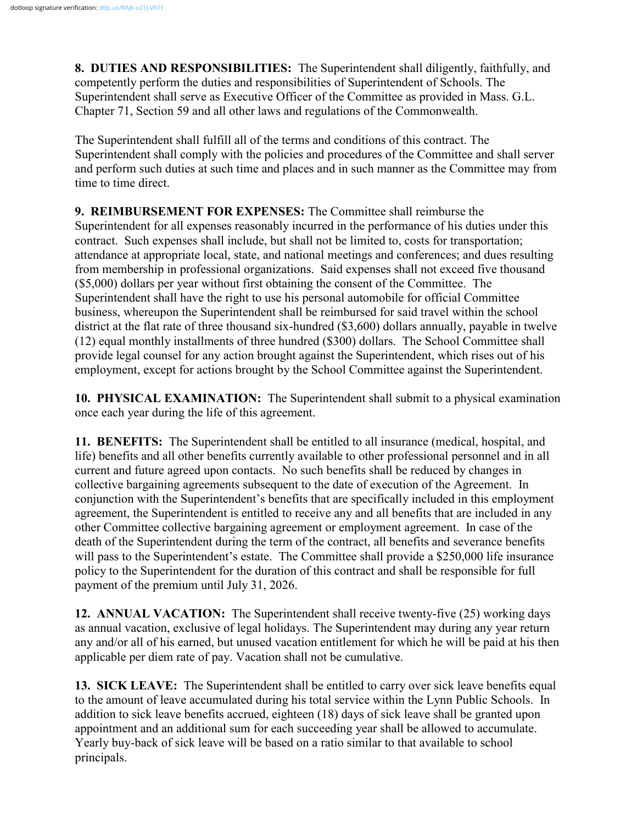**8. DUTIES AND RESPONSIBILITIES:** The Superintendent shall diligently, faithfully, and competently perform the duties and responsibilities of Superintendent of Schools. The Superintendent shall serve as Executive Officer of the Committee as provided in Mass. G.L. Chapter 71, Section 59 and all other laws and regulations of the Commonwealth.

The Superintendent shall fulfill all of the terms and conditions of this contract. The Superintendent shall comply with the policies and procedures of the Committee and shall server and perform such duties at such time and places and in such manner as the Committee may from time to time direct.

**9. REIMBURSEMENT FOR EXPENSES:** The Committee shall reimburse the Superintendent for all expenses reasonably incurred in the performance of his duties under this contract. Such expenses shall include, but shall not be limited to, costs for transportation; attendance at appropriate local, state, and national meetings and conferences; and dues resulting from membership in professional organizations. Said expenses shall not exceed five thousand (\$5,000) dollars per year without first obtaining the consent of the Committee. The Superintendent shall have the right to use his personal automobile for official Committee business, whereupon the Superintendent shall be reimbursed for said travel within the school district at the flat rate of three thousand six-hundred (\$3,600) dollars annually, payable in twelve (12) equal monthly installments of three hundred (\$300) dollars. The School Committee shall provide legal counsel for any action brought against the Superintendent, which rises out of his employment, except for actions brought by the School Committee against the Superintendent.

**10. PHYSICAL EXAMINATION:** The Superintendent shall submit to a physical examination once each year during the life of this agreement.

**11. BENEFITS:** The Superintendent shall be entitled to all insurance (medical, hospital, and life) benefits and all other benefits currently available to other professional personnel and in all current and future agreed upon contacts. No such benefits shall be reduced by changes in collective bargaining agreements subsequent to the date of execution of the Agreement. In conjunction with the Superintendent's benefits that are specifically included in this employment agreement, the Superintendent is entitled to receive any and all benefits that are included in any other Committee collective bargaining agreement or employment agreement. In case of the death of the Superintendent during the term of the contract, all benefits and severance benefits will pass to the Superintendent's estate. The Committee shall provide a \$250,000 life insurance policy to the Superintendent for the duration of this contract and shall be responsible for full payment of the premium until July 31, 2026.

**12. ANNUAL VACATION:** The Superintendent shall receive twenty-five (25) working days as annual vacation, exclusive of legal holidays. The Superintendent may during any year return any and/or all of his earned, but unused vacation entitlement for which he will be paid at his then applicable per diem rate of pay. Vacation shall not be cumulative.

**13. SICK LEAVE:** The Superintendent shall be entitled to carry over sick leave benefits equal to the amount of leave accumulated during his total service within the Lynn Public Schools. In addition to sick leave benefits accrued, eighteen (18) days of sick leave shall be granted upon appointment and an additional sum for each succeeding year shall be allowed to accumulate. Yearly buy-back of sick leave will be based on a ratio similar to that available to school principals.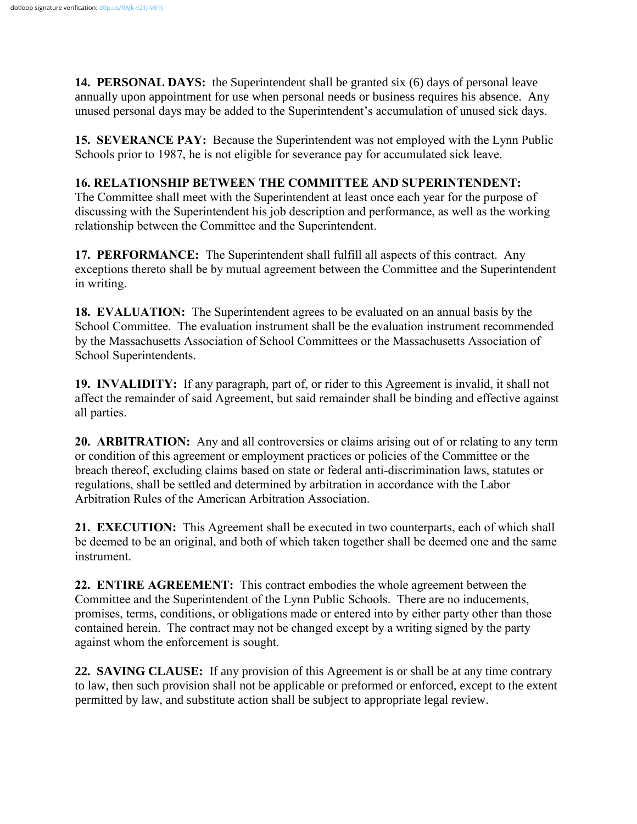**14. PERSONAL DAYS:** the Superintendent shall be granted six (6) days of personal leave annually upon appointment for use when personal needs or business requires his absence. Any unused personal days may be added to the Superintendent's accumulation of unused sick days.

**15. SEVERANCE PAY:** Because the Superintendent was not employed with the Lynn Public Schools prior to 1987, he is not eligible for severance pay for accumulated sick leave.

## **16. RELATIONSHIP BETWEEN THE COMMITTEE AND SUPERINTENDENT:**

The Committee shall meet with the Superintendent at least once each year for the purpose of discussing with the Superintendent his job description and performance, as well as the working relationship between the Committee and the Superintendent.

**17. PERFORMANCE:** The Superintendent shall fulfill all aspects of this contract. Any exceptions thereto shall be by mutual agreement between the Committee and the Superintendent in writing.

**18. EVALUATION:** The Superintendent agrees to be evaluated on an annual basis by the School Committee. The evaluation instrument shall be the evaluation instrument recommended by the Massachusetts Association of School Committees or the Massachusetts Association of School Superintendents.

**19. INVALIDITY:** If any paragraph, part of, or rider to this Agreement is invalid, it shall not affect the remainder of said Agreement, but said remainder shall be binding and effective against all parties.

**20. ARBITRATION:** Any and all controversies or claims arising out of or relating to any term or condition of this agreement or employment practices or policies of the Committee or the breach thereof, excluding claims based on state or federal anti-discrimination laws, statutes or regulations, shall be settled and determined by arbitration in accordance with the Labor Arbitration Rules of the American Arbitration Association.

**21. EXECUTION:** This Agreement shall be executed in two counterparts, each of which shall be deemed to be an original, and both of which taken together shall be deemed one and the same instrument.

**22. ENTIRE AGREEMENT:** This contract embodies the whole agreement between the Committee and the Superintendent of the Lynn Public Schools. There are no inducements, promises, terms, conditions, or obligations made or entered into by either party other than those contained herein. The contract may not be changed except by a writing signed by the party against whom the enforcement is sought.

**22. SAVING CLAUSE:** If any provision of this Agreement is or shall be at any time contrary to law, then such provision shall not be applicable or preformed or enforced, except to the extent permitted by law, and substitute action shall be subject to appropriate legal review.